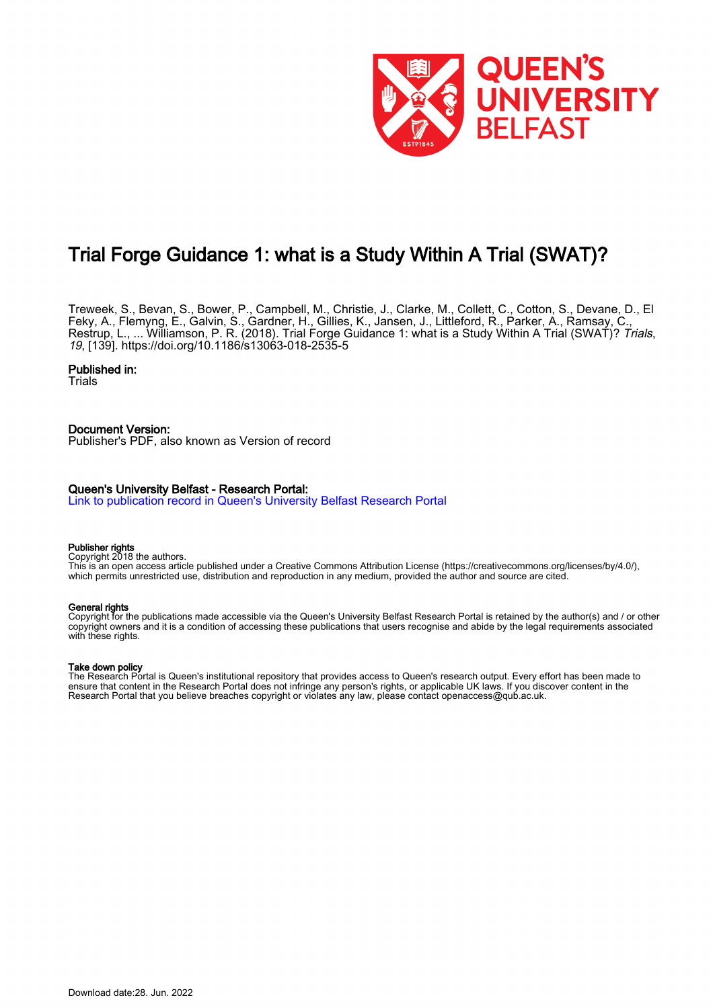

# Trial Forge Guidance 1: what is a Study Within A Trial (SWAT)?

Treweek, S., Bevan, S., Bower, P., Campbell, M., Christie, J., Clarke, M., Collett, C., Cotton, S., Devane, D., El Feky, A., Flemyng, E., Galvin, S., Gardner, H., Gillies, K., Jansen, J., Littleford, R., Parker, A., Ramsay, C., Restrup, L., ... Williamson, P. R. (2018). Trial Forge Guidance 1: what is a Study Within A Trial (SWAT)? *Trials*, 19, [139].<https://doi.org/10.1186/s13063-018-2535-5>

# Published in:

Trials

# Document Version:

Publisher's PDF, also known as Version of record

# Queen's University Belfast - Research Portal:

[Link to publication record in Queen's University Belfast Research Portal](https://pure.qub.ac.uk/en/publications/89307b35-7007-475e-a335-1183d14d568a)

### Publisher rights

Copyright 2018 the authors.

This is an open access article published under a Creative Commons Attribution License (https://creativecommons.org/licenses/by/4.0/), which permits unrestricted use, distribution and reproduction in any medium, provided the author and source are cited.

# General rights

Copyright for the publications made accessible via the Queen's University Belfast Research Portal is retained by the author(s) and / or other copyright owners and it is a condition of accessing these publications that users recognise and abide by the legal requirements associated with these rights.

# Take down policy

The Research Portal is Queen's institutional repository that provides access to Queen's research output. Every effort has been made to ensure that content in the Research Portal does not infringe any person's rights, or applicable UK laws. If you discover content in the Research Portal that you believe breaches copyright or violates any law, please contact openaccess@qub.ac.uk.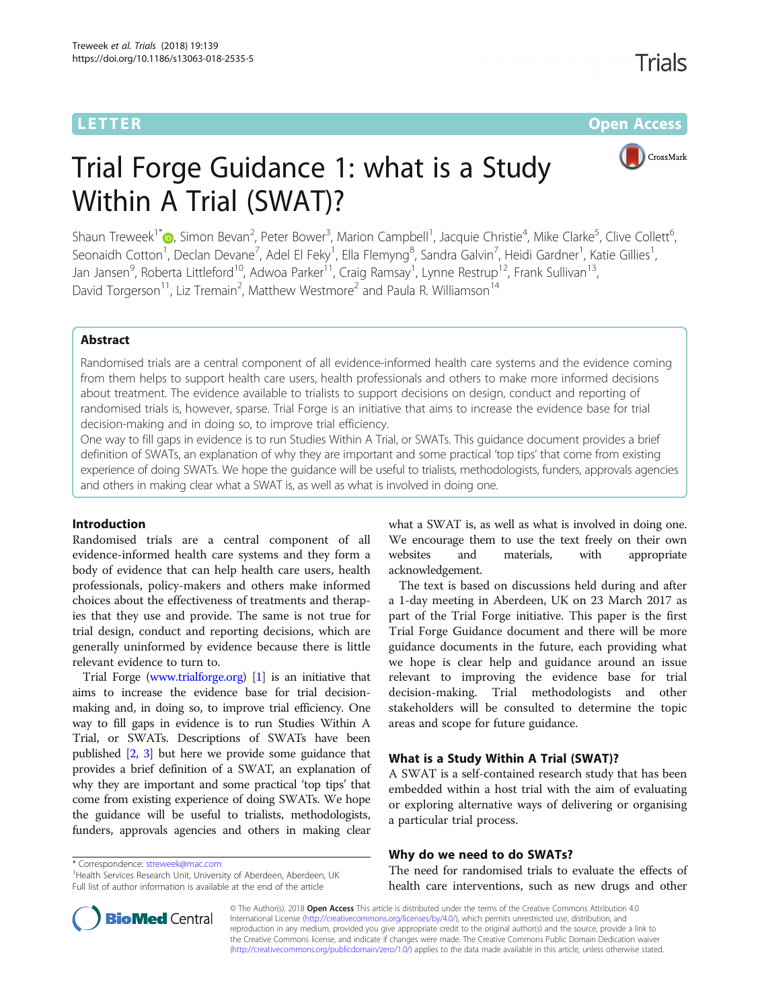# **LETTER CONSTRUCTION CONSTRUCTER CONSTRUCTER CONSTRUCTER CONSTRUCTER CONSTRUCTER**



# Trial Forge Guidance 1: what is a Study Within A Trial (SWAT)?

Shaun Treweek<sup>1\*</sup>®, Simon Bevan<sup>2</sup>, Peter Bower<sup>3</sup>, Marion Campbell<sup>1</sup>, Jacquie Christie<sup>4</sup>, Mike Clarke<sup>5</sup>, Clive Collett<sup>6</sup> י<br>, Seonaidh Cotton<sup>1</sup>, Declan Devane<sup>7</sup>, Adel El Feky<sup>1</sup>, Ella Flemyng<sup>8</sup>, Sandra Galvin<sup>7</sup>, Heidi Gardner<sup>1</sup>, Katie Gillies<sup>1</sup> , Jan Jansen<sup>9</sup>, Roberta Littleford<sup>10</sup>, Adwoa Parker<sup>11</sup>, Craig Ramsay<sup>1</sup>, Lynne Restrup<sup>12</sup>, Frank Sullivan<sup>13</sup>, David Torgerson<sup>11</sup>, Liz Tremain<sup>2</sup>, Matthew Westmore<sup>2</sup> and Paula R. Williamson<sup>14</sup>

# Abstract

Randomised trials are a central component of all evidence-informed health care systems and the evidence coming from them helps to support health care users, health professionals and others to make more informed decisions about treatment. The evidence available to trialists to support decisions on design, conduct and reporting of randomised trials is, however, sparse. Trial Forge is an initiative that aims to increase the evidence base for trial decision-making and in doing so, to improve trial efficiency.

One way to fill gaps in evidence is to run Studies Within A Trial, or SWATs. This guidance document provides a brief definition of SWATs, an explanation of why they are important and some practical 'top tips' that come from existing experience of doing SWATs. We hope the guidance will be useful to trialists, methodologists, funders, approvals agencies and others in making clear what a SWAT is, as well as what is involved in doing one.

# Introduction

Randomised trials are a central component of all evidence-informed health care systems and they form a body of evidence that can help health care users, health professionals, policy-makers and others make informed choices about the effectiveness of treatments and therapies that they use and provide. The same is not true for trial design, conduct and reporting decisions, which are generally uninformed by evidence because there is little relevant evidence to turn to.

Trial Forge (www.trialforge.org) [1] is an initiative that aims to increase the evidence base for trial decisionmaking and, in doing so, to improve trial efficiency. One way to fill gaps in evidence is to run Studies Within A Trial, or SWATs. Descriptions of SWATs have been published [2, 3] but here we provide some guidance that provides a brief definition of a SWAT, an explanation of why they are important and some practical 'top tips' that come from existing experience of doing SWATs. We hope the guidance will be useful to trialists, methodologists, funders, approvals agencies and others in making clear

\* Correspondence: streweek@mac.com <sup>1</sup>

<sup>1</sup> Health Services Research Unit, University of Aberdeen, Aberdeen, UK Full list of author information is available at the end of the article

what a SWAT is, as well as what is involved in doing one. We encourage them to use the text freely on their own websites and materials, with appropriate acknowledgement.

The text is based on discussions held during and after a 1-day meeting in Aberdeen, UK on 23 March 2017 as part of the Trial Forge initiative. This paper is the first Trial Forge Guidance document and there will be more guidance documents in the future, each providing what we hope is clear help and guidance around an issue relevant to improving the evidence base for trial decision-making. Trial methodologists and other stakeholders will be consulted to determine the topic areas and scope for future guidance.

# What is a Study Within A Trial (SWAT)?

A SWAT is a self-contained research study that has been embedded within a host trial with the aim of evaluating or exploring alternative ways of delivering or organising a particular trial process.

# Why do we need to do SWATs?

The need for randomised trials to evaluate the effects of health care interventions, such as new drugs and other



© The Author(s). 2018 Open Access This article is distributed under the terms of the Creative Commons Attribution 4.0 International License (http://creativecommons.org/licenses/by/4.0/), which permits unrestricted use, distribution, and reproduction in any medium, provided you give appropriate credit to the original author(s) and the source, provide a link to the Creative Commons license, and indicate if changes were made. The Creative Commons Public Domain Dedication waiver (http://creativecommons.org/publicdomain/zero/1.0/) applies to the data made available in this article, unless otherwise stated.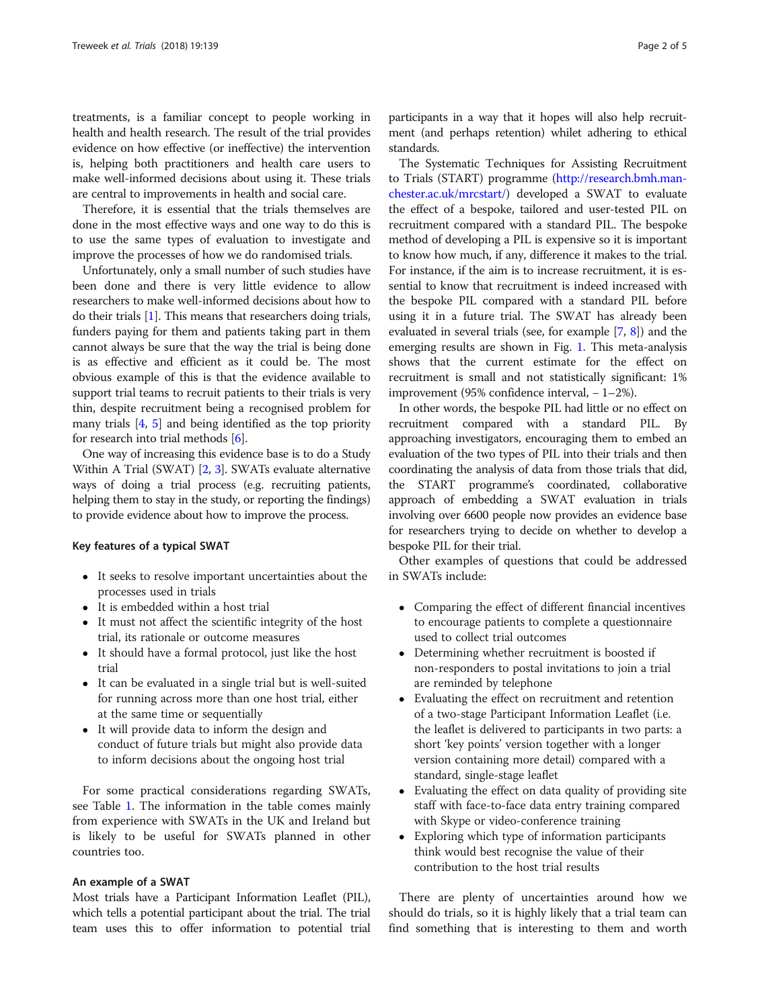treatments, is a familiar concept to people working in health and health research. The result of the trial provides evidence on how effective (or ineffective) the intervention is, helping both practitioners and health care users to make well-informed decisions about using it. These trials are central to improvements in health and social care.

Therefore, it is essential that the trials themselves are done in the most effective ways and one way to do this is to use the same types of evaluation to investigate and improve the processes of how we do randomised trials.

Unfortunately, only a small number of such studies have been done and there is very little evidence to allow researchers to make well-informed decisions about how to do their trials [1]. This means that researchers doing trials, funders paying for them and patients taking part in them cannot always be sure that the way the trial is being done is as effective and efficient as it could be. The most obvious example of this is that the evidence available to support trial teams to recruit patients to their trials is very thin, despite recruitment being a recognised problem for many trials  $[4, 5]$  and being identified as the top priority for research into trial methods  $[6]$ .

One way of increasing this evidence base is to do a Study Within A Trial (SWAT) [2, 3]. SWATs evaluate alternative ways of doing a trial process (e.g. recruiting patients, helping them to stay in the study, or reporting the findings) to provide evidence about how to improve the process.

#### Key features of a typical SWAT

- It seeks to resolve important uncertainties about the processes used in trials
- It is embedded within a host trial
- It must not affect the scientific integrity of the host trial, its rationale or outcome measures
- It should have a formal protocol, just like the host trial
- It can be evaluated in a single trial but is well-suited for running across more than one host trial, either at the same time or sequentially
- It will provide data to inform the design and conduct of future trials but might also provide data to inform decisions about the ongoing host trial

For some practical considerations regarding SWATs, see Table 1. The information in the table comes mainly from experience with SWATs in the UK and Ireland but is likely to be useful for SWATs planned in other countries too.

# An example of a SWAT

Most trials have a Participant Information Leaflet (PIL), which tells a potential participant about the trial. The trial team uses this to offer information to potential trial

standards. The Systematic Techniques for Assisting Recruitment to Trials (START) programme (http://research.bmh.manchester.ac.uk/mrcstart/) developed a SWAT to evaluate the effect of a bespoke, tailored and user-tested PIL on recruitment compared with a standard PIL. The bespoke method of developing a PIL is expensive so it is important to know how much, if any, difference it makes to the trial. For instance, if the aim is to increase recruitment, it is essential to know that recruitment is indeed increased with the bespoke PIL compared with a standard PIL before using it in a future trial. The SWAT has already been evaluated in several trials (see, for example  $[7, 8]$ ) and the emerging results are shown in Fig. 1. This meta-analysis shows that the current estimate for the effect on recruitment is small and not statistically significant: 1% improvement (95% confidence interval, − 1–2%).

ment (and perhaps retention) whilet adhering to ethical

In other words, the bespoke PIL had little or no effect on recruitment compared with a standard PIL. By approaching investigators, encouraging them to embed an evaluation of the two types of PIL into their trials and then coordinating the analysis of data from those trials that did, the START programme's coordinated, collaborative approach of embedding a SWAT evaluation in trials involving over 6600 people now provides an evidence base for researchers trying to decide on whether to develop a bespoke PIL for their trial.

Other examples of questions that could be addressed in SWATs include:

- Comparing the effect of different financial incentives to encourage patients to complete a questionnaire used to collect trial outcomes
- Determining whether recruitment is boosted if non-responders to postal invitations to join a trial are reminded by telephone
- Evaluating the effect on recruitment and retention of a two-stage Participant Information Leaflet (i.e. the leaflet is delivered to participants in two parts: a short 'key points' version together with a longer version containing more detail) compared with a standard, single-stage leaflet
- Evaluating the effect on data quality of providing site staff with face-to-face data entry training compared with Skype or video-conference training
- Exploring which type of information participants think would best recognise the value of their contribution to the host trial results

There are plenty of uncertainties around how we should do trials, so it is highly likely that a trial team can find something that is interesting to them and worth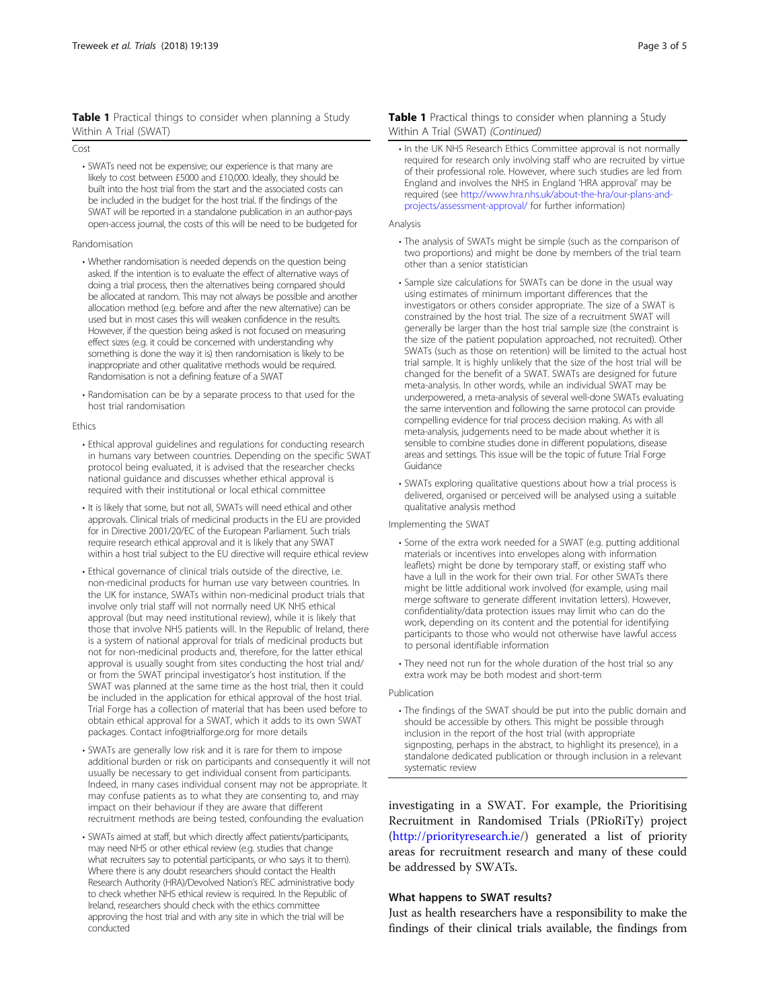# Table 1 Practical things to consider when planning a Study Within A Trial (SWAT)

Cost

• SWATs need not be expensive; our experience is that many are likely to cost between £5000 and £10,000. Ideally, they should be built into the host trial from the start and the associated costs can be included in the budget for the host trial. If the findings of the SWAT will be reported in a standalone publication in an author-pays open-access journal, the costs of this will be need to be budgeted for

#### Randomisation

- Whether randomisation is needed depends on the question being asked. If the intention is to evaluate the effect of alternative ways of doing a trial process, then the alternatives being compared should be allocated at random. This may not always be possible and another allocation method (e.g. before and after the new alternative) can be used but in most cases this will weaken confidence in the results. However, if the question being asked is not focused on measuring effect sizes (e.g. it could be concerned with understanding why something is done the way it is) then randomisation is likely to be inappropriate and other qualitative methods would be required. Randomisation is not a defining feature of a SWAT
- Randomisation can be by a separate process to that used for the host trial randomisation

#### Ethics

- Ethical approval guidelines and regulations for conducting research in humans vary between countries. Depending on the specific SWAT protocol being evaluated, it is advised that the researcher checks national guidance and discusses whether ethical approval is required with their institutional or local ethical committee
- It is likely that some, but not all, SWATs will need ethical and other approvals. Clinical trials of medicinal products in the EU are provided for in Directive 2001/20/EC of the European Parliament. Such trials require research ethical approval and it is likely that any SWAT within a host trial subject to the EU directive will require ethical review
- Ethical governance of clinical trials outside of the directive, i.e. non-medicinal products for human use vary between countries. In the UK for instance, SWATs within non-medicinal product trials that involve only trial staff will not normally need UK NHS ethical approval (but may need institutional review), while it is likely that those that involve NHS patients will. In the Republic of Ireland, there is a system of national approval for trials of medicinal products but not for non-medicinal products and, therefore, for the latter ethical approval is usually sought from sites conducting the host trial and/ or from the SWAT principal investigator's host institution. If the SWAT was planned at the same time as the host trial, then it could be included in the application for ethical approval of the host trial. Trial Forge has a collection of material that has been used before to obtain ethical approval for a SWAT, which it adds to its own SWAT packages. Contact info@trialforge.org for more details
- SWATs are generally low risk and it is rare for them to impose additional burden or risk on participants and consequently it will not usually be necessary to get individual consent from participants. Indeed, in many cases individual consent may not be appropriate. It may confuse patients as to what they are consenting to, and may impact on their behaviour if they are aware that different recruitment methods are being tested, confounding the evaluation
- SWATs aimed at staff, but which directly affect patients/participants, may need NHS or other ethical review (e.g. studies that change what recruiters say to potential participants, or who says it to them). Where there is any doubt researchers should contact the Health Research Authority (HRA)/Devolved Nation's REC administrative body to check whether NHS ethical review is required. In the Republic of Ireland, researchers should check with the ethics committee approving the host trial and with any site in which the trial will be conducted

# Table 1 Practical things to consider when planning a Study Within A Trial (SWAT) (Continued)

• In the UK NHS Research Ethics Committee approval is not normally required for research only involving staff who are recruited by virtue of their professional role. However, where such studies are led from England and involves the NHS in England 'HRA approval' may be required (see http://www.hra.nhs.uk/about-the-hra/our-plans-andprojects/assessment-approval/ for further information)

#### Analysis

- The analysis of SWATs might be simple (such as the comparison of two proportions) and might be done by members of the trial team other than a senior statistician
- Sample size calculations for SWATs can be done in the usual way using estimates of minimum important differences that the investigators or others consider appropriate. The size of a SWAT is constrained by the host trial. The size of a recruitment SWAT will generally be larger than the host trial sample size (the constraint is the size of the patient population approached, not recruited). Other SWATs (such as those on retention) will be limited to the actual host trial sample. It is highly unlikely that the size of the host trial will be changed for the benefit of a SWAT. SWATs are designed for future meta-analysis. In other words, while an individual SWAT may be underpowered, a meta-analysis of several well-done SWATs evaluating the same intervention and following the same protocol can provide compelling evidence for trial process decision making. As with all meta-analysis, judgements need to be made about whether it is sensible to combine studies done in different populations, disease areas and settings. This issue will be the topic of future Trial Forge Guidance
- SWATs exploring qualitative questions about how a trial process is delivered, organised or perceived will be analysed using a suitable qualitative analysis method

#### Implementing the SWAT

- Some of the extra work needed for a SWAT (e.g. putting additional materials or incentives into envelopes along with information leaflets) might be done by temporary staff, or existing staff who have a lull in the work for their own trial. For other SWATs there might be little additional work involved (for example, using mail merge software to generate different invitation letters). However, confidentiality/data protection issues may limit who can do the work, depending on its content and the potential for identifying participants to those who would not otherwise have lawful access to personal identifiable information
- They need not run for the whole duration of the host trial so any extra work may be both modest and short-term

### Publication

• The findings of the SWAT should be put into the public domain and should be accessible by others. This might be possible through inclusion in the report of the host trial (with appropriate signposting, perhaps in the abstract, to highlight its presence), in a standalone dedicated publication or through inclusion in a relevant systematic review

investigating in a SWAT. For example, the Prioritising Recruitment in Randomised Trials (PRioRiTy) project (http://priorityresearch.ie/) generated a list of priority areas for recruitment research and many of these could be addressed by SWATs.

# What happens to SWAT results?

Just as health researchers have a responsibility to make the findings of their clinical trials available, the findings from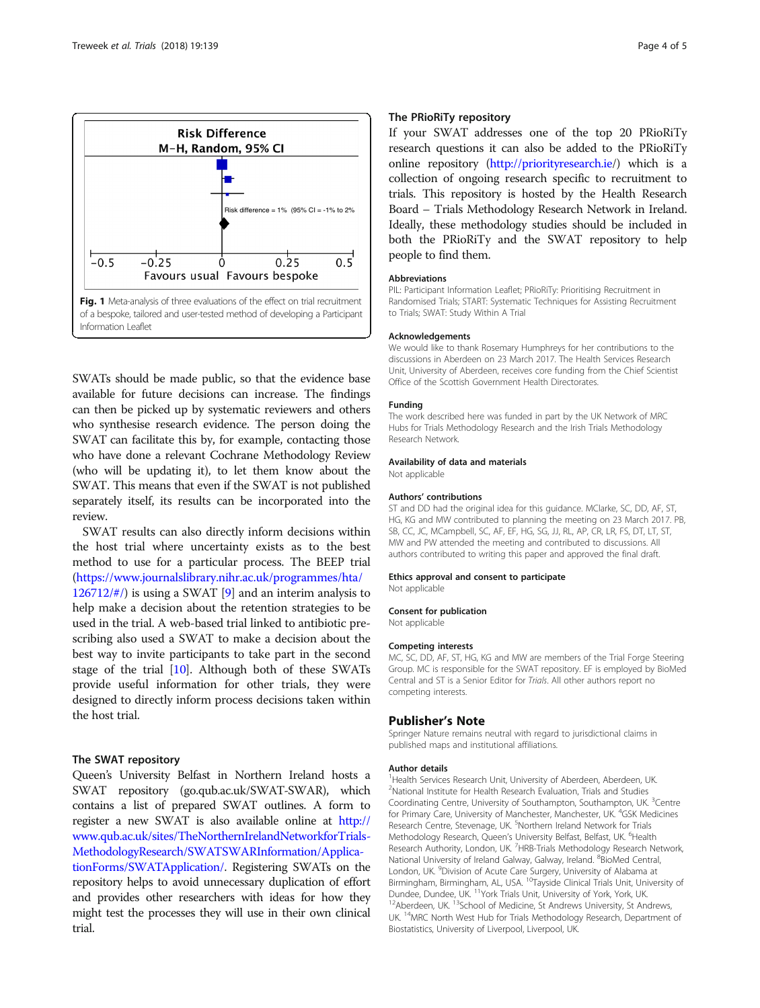

SWATs should be made public, so that the evidence base available for future decisions can increase. The findings can then be picked up by systematic reviewers and others who synthesise research evidence. The person doing the SWAT can facilitate this by, for example, contacting those who have done a relevant Cochrane Methodology Review (who will be updating it), to let them know about the SWAT. This means that even if the SWAT is not published separately itself, its results can be incorporated into the review.

SWAT results can also directly inform decisions within the host trial where uncertainty exists as to the best method to use for a particular process. The BEEP trial (https://www.journalslibrary.nihr.ac.uk/programmes/hta/ 126712/#/) is using a SWAT [9] and an interim analysis to help make a decision about the retention strategies to be used in the trial. A web-based trial linked to antibiotic prescribing also used a SWAT to make a decision about the best way to invite participants to take part in the second stage of the trial [10]. Although both of these SWATs provide useful information for other trials, they were

designed to directly inform process decisions taken within

#### The SWAT repository

the host trial.

Queen's University Belfast in Northern Ireland hosts a SWAT repository (go.qub.ac.uk/SWAT-SWAR), which contains a list of prepared SWAT outlines. A form to register a new SWAT is also available online at http:// www.qub.ac.uk/sites/TheNorthernIrelandNetworkforTrials-MethodologyResearch/SWATSWARInformation/Applica-

tionForms/SWATApplication/. Registering SWATs on the repository helps to avoid unnecessary duplication of effort and provides other researchers with ideas for how they might test the processes they will use in their own clinical trial.

# The PRioRiTy repository

If your SWAT addresses one of the top 20 PRioRiTy research questions it can also be added to the PRioRiTy online repository (http://priorityresearch.ie/) which is a collection of ongoing research specific to recruitment to trials. This repository is hosted by the Health Research Board – Trials Methodology Research Network in Ireland. Ideally, these methodology studies should be included in both the PRioRiTy and the SWAT repository to help people to find them.

#### Abbreviations

PIL: Participant Information Leaflet; PRioRiTy: Prioritising Recruitment in Randomised Trials; START: Systematic Techniques for Assisting Recruitment to Trials; SWAT: Study Within A Trial

#### Acknowledgements

We would like to thank Rosemary Humphreys for her contributions to the discussions in Aberdeen on 23 March 2017. The Health Services Research Unit, University of Aberdeen, receives core funding from the Chief Scientist Office of the Scottish Government Health Directorates.

#### Funding

The work described here was funded in part by the UK Network of MRC Hubs for Trials Methodology Research and the Irish Trials Methodology Research Network.

# Availability of data and materials

Not applicable

#### Authors' contributions

ST and DD had the original idea for this guidance. MClarke, SC, DD, AF, ST, HG, KG and MW contributed to planning the meeting on 23 March 2017. PB, SB, CC, JC, MCampbell, SC, AF, EF, HG, SG, JJ, RL, AP, CR, LR, FS, DT, LT, ST, MW and PW attended the meeting and contributed to discussions. All authors contributed to writing this paper and approved the final draft.

#### Ethics approval and consent to participate

Not applicable

#### Consent for publication

Not applicable

#### Competing interests

MC, SC, DD, AF, ST, HG, KG and MW are members of the Trial Forge Steering Group. MC is responsible for the SWAT repository. EF is employed by BioMed Central and ST is a Senior Editor for Trials. All other authors report no competing interests.

### Publisher's Note

Springer Nature remains neutral with regard to jurisdictional claims in published maps and institutional affiliations.

#### Author details

<sup>1</sup> Health Services Research Unit, University of Aberdeen, Aberdeen, UK <sup>2</sup>National Institute for Health Research Evaluation, Trials and Studies Coordinating Centre, University of Southampton, Southampton, UK. <sup>3</sup>Centre for Primary Care, University of Manchester, Manchester, UK. <sup>4</sup>GSK Medicines Research Centre, Stevenage, UK. <sup>5</sup>Northern Ireland Network for Trials Methodology Research, Queen's University Belfast, Belfast, UK. <sup>6</sup>Health Research Authority, London, UK. <sup>7</sup>HRB-Trials Methodology Research Network National University of Ireland Galway, Galway, Ireland. <sup>8</sup> BioMed Central London, UK. <sup>9</sup>Division of Acute Care Surgery, University of Alabama at<br>Birmingham, Birmingham, AL, USA. <sup>10</sup>Tayside Clinical Trials Unit, University of Dundee, Dundee, UK. <sup>11</sup>York Trials Unit, University of York, York, UK.<br><sup>12</sup>Aberdeen, UK. <sup>13</sup>School of Medicine, St Andrews University, St Andrews, UK.<sup>14</sup>MRC North West Hub for Trials Methodology Research, Department of Biostatistics, University of Liverpool, Liverpool, UK.